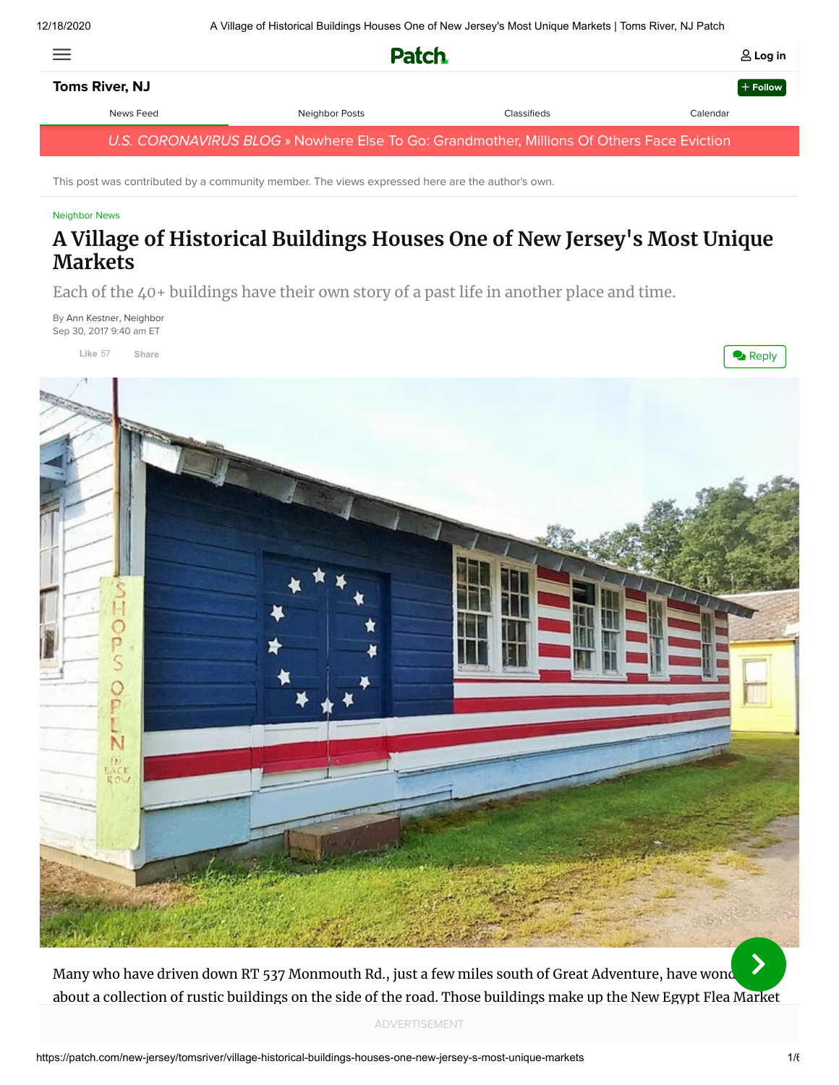| 三                                                                                         | <b>Patch</b>   |             | $\triangle$ Log in |
|-------------------------------------------------------------------------------------------|----------------|-------------|--------------------|
| <b>Toms River, NJ</b>                                                                     |                |             | $+$ Follow         |
| News Feed                                                                                 | Neighbor Posts | Classifieds | Calendar           |
| U.S. CORONAVIRUS BLOG » Nowhere Else To Go: Grandmother, Millions Of Others Face Eviction |                |             |                    |

This post was contributed by a community member. The views expressed here are the author's own.

#### [Neighbor News](https://patch.com/new-jersey/tomsriver/posts)

# **A Village of Historical Buildings Houses One of New Jersey's Most Unique Markets**

Each of the 40+ buildings have their own story of a past life in another place and time.

By [Ann Kestner, Neighbor](https://patch.com/users/ann-kestner-0) Sep 30, 2017 9:40 am ET

**Like** 57 **[Share](https://www.facebook.com/sharer/sharer.php?u=https%3A%2F%2Fpatch.com%2Fnew-jersey%2Ftomsriver%2Fvillage-historical-buildings-houses-one-new-jersey-s-most-unique-markets&display=popup&ref=plugin&src=like&kid_directed_site=0)**



Many who have driven down RT 537 Monmouth Rd., just a few miles south of Great Adventure, have wond about a collection of rustic buildings on the side of the road. Those buildings make up the New Egypt Flea Market  $\blacktriangleright$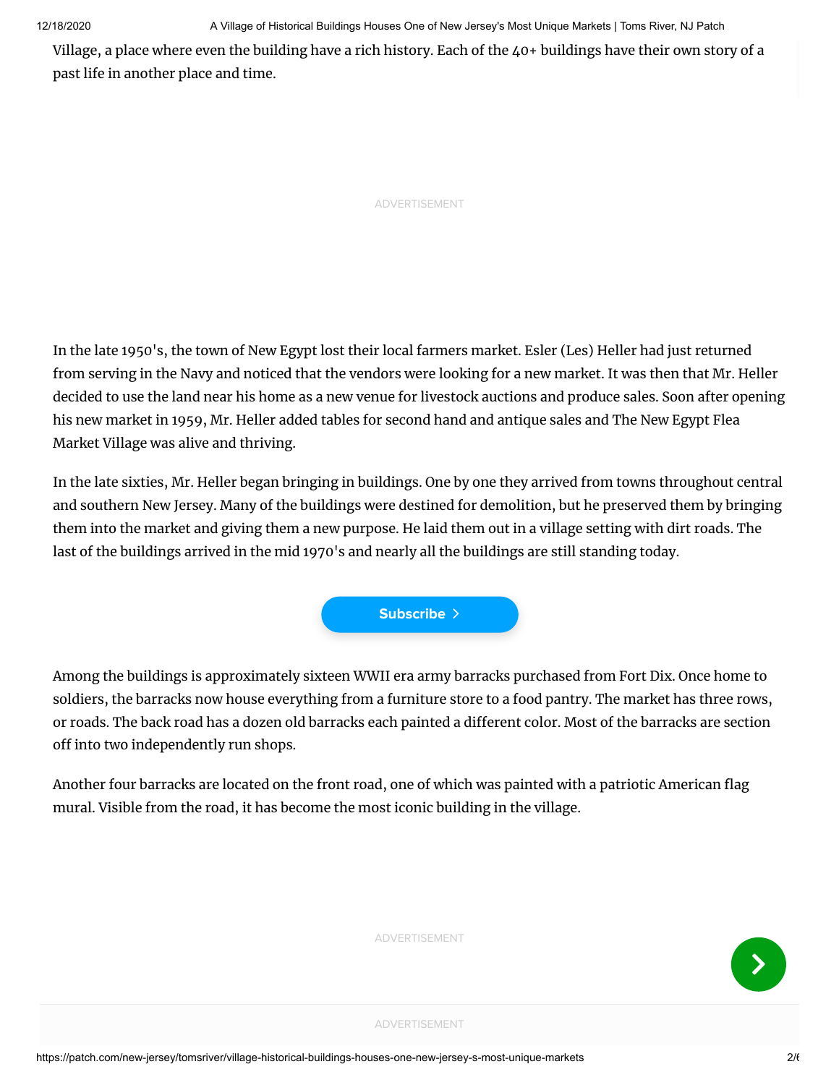12/18/2020 A Village of Historical Buildings Houses One of New Jersey's Most Unique Markets | Toms River, NJ Patch

Village, a place where even the building have a rich history. Each of the 40+ buildings have their own story of a past life in another place and time.

ADVERTISEMENT

In the late 1950's, the town of New Egypt lost their local farmers market. Esler (Les) Heller had just returned from serving in the Navy and noticed that the vendors were looking for a new market. It was then that Mr. Heller decided to use the land near his home as a new venue for livestock auctions and produce sales. Soon after opening his new market in 1959, Mr. Heller added tables for second hand and antique sales and The New Egypt Flea Market Village was alive and thriving.

In the late sixties, Mr. Heller began bringing in buildings. One by one they arrived from towns throughout central and southern New Jersey. Many of the buildings were destined for demolition, but he preserved them by bringing them into the market and giving them a new purpose. He laid them out in a village setting with dirt roads. The last of the buildings arrived in the mid 1970's and nearly all the buildings are still standing today.



Among the buildings is approximately sixteen WWII era army barracks purchased from Fort Dix. Once home to soldiers, the barracks now house everything from a furniture store to a food pantry. The market has three rows, or roads. The back road has a dozen old barracks each painted a different color. Most of the barracks are section off into two independently run shops.

Another four barracks are located on the front road, one of which was painted with a patriotic American flag mural. Visible from the road, it has become the most iconic building in the village.



ADVERTISEMENT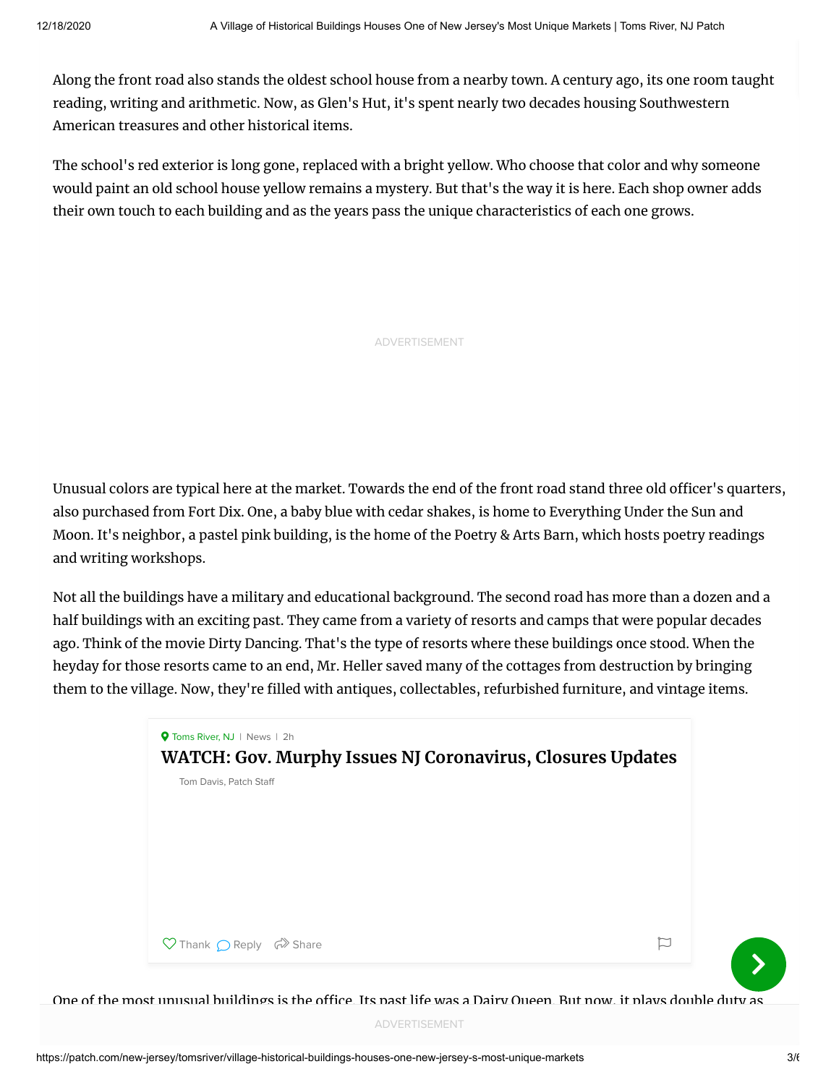Along the front road also stands the oldest school house from a nearby town. A century ago, its one room taught reading, writing and arithmetic. Now, as Glen's Hut, it's spent nearly two decades housing Southwestern American treasures and other historical items.

The school's red exterior is long gone, replaced with a bright yellow. Who choose that color and why someone would paint an old school house yellow remains a mystery. But that's the way it is here. Each shop owner adds their own touch to each building and as the years pass the unique characteristics of each one grows.

ADVERTISEMENT

Unusual colors are typical here at the market. Towards the end of the front road stand three old officer's quarters, also purchased from Fort Dix. One, a baby blue with cedar shakes, is home to Everything Under the Sun and Moon. It's neighbor, a pastel pink building, is the home of the Poetry & Arts Barn, which hosts poetry readings and writing workshops.

Not all the buildings have a military and educational background. The second road has more than a dozen and a half buildings with an exciting past. They came from a variety of resorts and camps that were popular decades ago. Think of the movie Dirty Dancing. That's the type of resorts where these buildings once stood. When the heyday for those resorts came to an end, Mr. Heller saved many of the cottages from destruction by bringing them to the village. Now, they're filled with antiques, collectables, refurbished furniture, and vintage items.



One of the most unusual buildings is the office. Its past life was a Dairy Queen. But now, it plays double duty as

the New Egypt Flexible and as an antique and as an antique and collectables shop run by the main by the market  $\lambda$ 

 $\sum$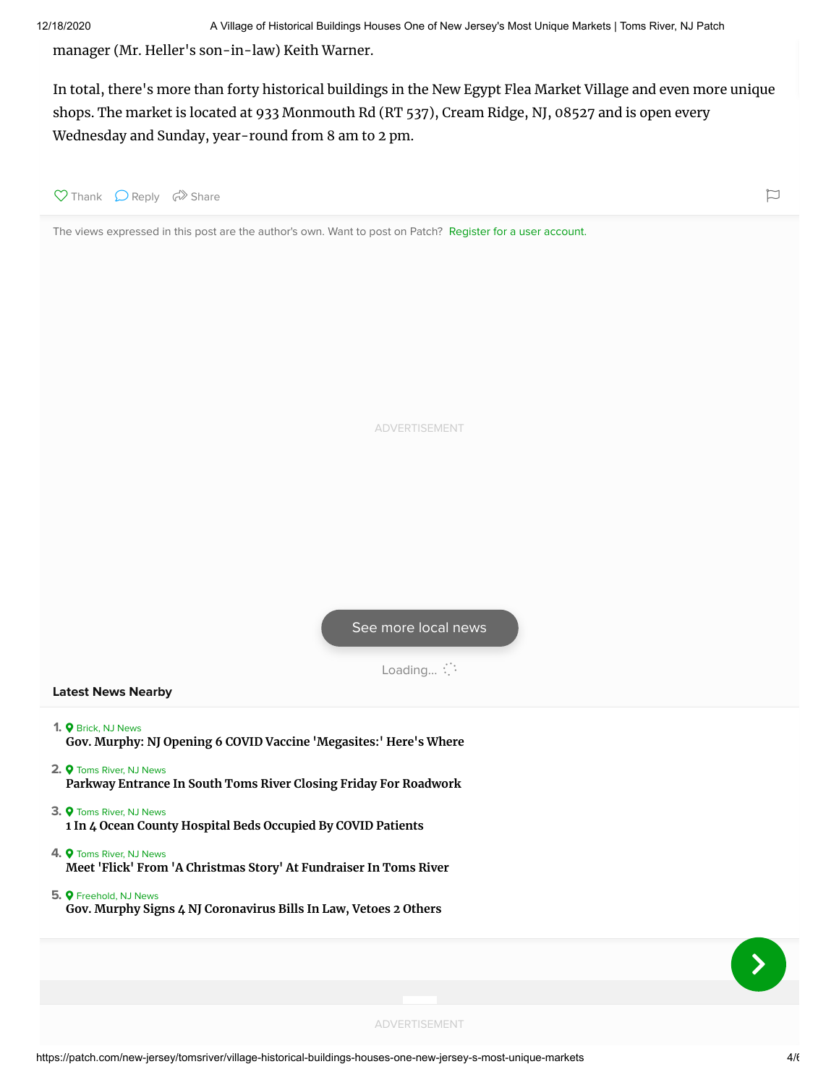manager (Mr. Heller's son-in-law) Keith Warner.

In total, there's more than forty historical buildings in the New Egypt Flea Market Village and even more unique shops. The market is located at 933 Monmouth Rd (RT 537), Cream Ridge, NJ, 08527 and is open every Wednesday and Sunday, year-round from 8 am to 2 pm.



The views expressed in this post are the author's own. Want to post on Patch? Register for a user account.

ADVERTISEMENT

[See more local news](https://patch.com/new-jersey/tomsriver)

Loading... : :

# **Latest News Nearby**

- 1. **Q** [Brick, NJ News](https://patch.com/new-jersey/brick)
- **[Gov. Murphy: NJ Opening 6 COVID Vaccine 'Megasites:' Here's Where](https://patch.com/new-jersey/tomsriver/s/hcrxh/gov-murphy-nj-opening-6-covid-vaccine-megasites-heres-where)**
- 2.  $\bullet$  [Toms River, NJ News](https://patch.com/new-jersey/tomsriver) **[Parkway Entrance In South Toms River Closing Friday For Roadwork](https://patch.com/new-jersey/tomsriver/parkway-entrance-south-toms-river-closing-friday-roadwork)**
- **3. •** [Toms River, NJ News](https://patch.com/new-jersey/tomsriver) **[1 In 4 Ocean County Hospital Beds Occupied By COVID Patients](https://patch.com/new-jersey/tomsriver/1-4-ocean-county-hospital-beds-occupied-covid-patients)**
- 4. **Q** [Toms River, NJ News](https://patch.com/new-jersey/tomsriver) **[Meet 'Flick' From 'A Christmas Story' At Fundraiser In Toms River](https://patch.com/new-jersey/tomsriver/meet-flick-christmas-story-fundraiser-toms-river)**
- 5.  $\bullet$  [Freehold, NJ News](https://patch.com/new-jersey/freehold) **[Gov. Murphy Signs 4 NJ Coronavirus Bills In Law, Vetoes 2 Others](https://patch.com/new-jersey/tomsriver/s/hcr6k/gov-murphy-signs-4-nj-coronavirus-bills-law-vetoes-2-others)**

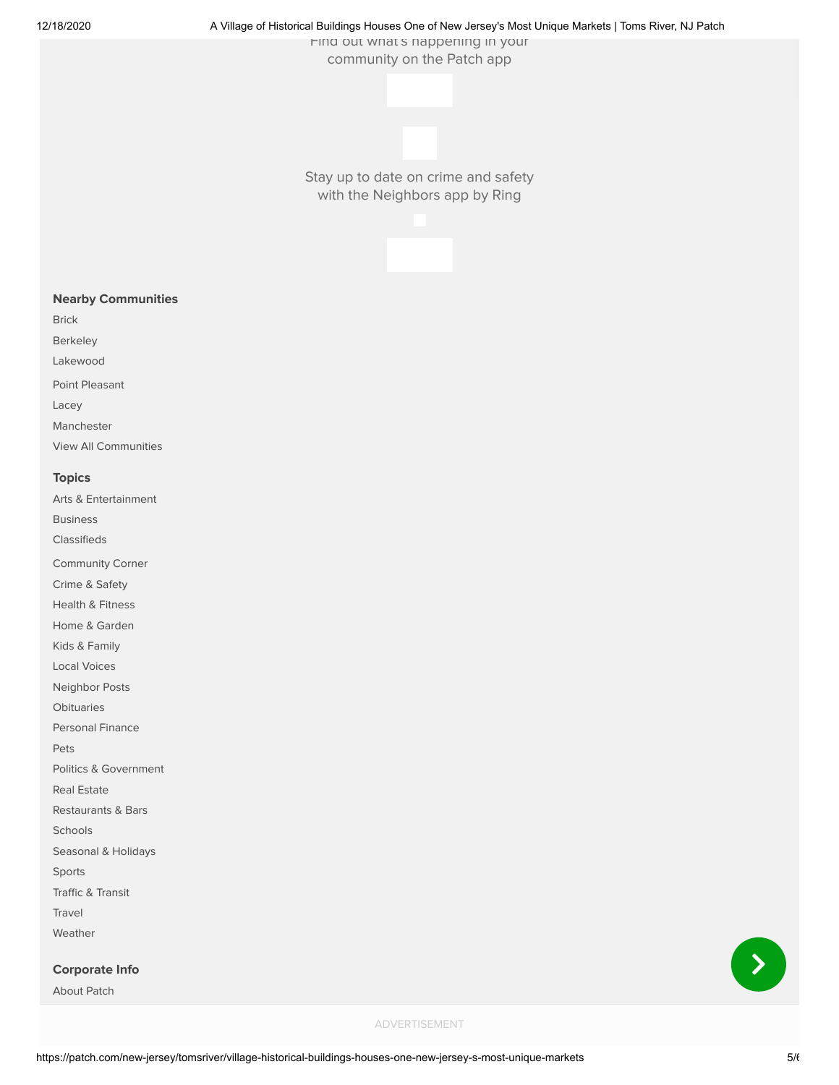### 12/18/2020 A Village of Historical Buildings Houses One of New Jersey's Most Unique Markets | Toms River, NJ Patch

Find out what s happening in your community on the Patch app

Stay up to date on crime and safety with the Neighbors app by Ring



[Brick](https://patch.com/new-jersey/brick)

[Berkeley](https://patch.com/new-jersey/berkeley-nj)

[Lakewood](https://patch.com/new-jersey/lakewood-nj)

[Point Pleasant](https://patch.com/new-jersey/pointpleasant)

[Lacey](https://patch.com/new-jersey/lacey)

[Manchester](https://patch.com/new-jersey/manchester-nj) [View All Communities](https://patch.com/map)

# **Topics**

[Arts & Entertainment](https://patch.com/new-jersey/tomsriver/arts-entertainment) [Business](https://patch.com/new-jersey/tomsriver/business)

[Classifieds](https://patch.com/new-jersey/tomsriver/classifieds)

[Community Corner](https://patch.com/new-jersey/tomsriver/around-town)

[Crime & Safety](https://patch.com/new-jersey/tomsriver/police-fire)

[Health & Fitness](https://patch.com/new-jersey/tomsriver/lifestyle)

[Home & Garden](https://patch.com/new-jersey/tomsriver/going-green)

[Kids & Family](https://patch.com/new-jersey/tomsriver/kids-family) [Local Voices](https://patch.com/new-jersey/tomsriver/small-business-voices)

[Neighbor Posts](https://patch.com/new-jersey/tomsriver/posts)

[Obituaries](https://patch.com/new-jersey/tomsriver/obituaries)

[Personal Finance](https://patch.com/new-jersey/tomsriver/personal-finance)

[Pets](https://patch.com/new-jersey/tomsriver/pets)

[Politics & Government](https://patch.com/new-jersey/tomsriver/politics)

[Real Estate](https://patch.com/new-jersey/tomsriver/real-estate)

[Restaurants & Bars](https://patch.com/new-jersey/tomsriver/restaurants-bars)

[Schools](https://patch.com/new-jersey/tomsriver/schools)

[Seasonal & Holidays](https://patch.com/new-jersey/tomsriver/holidays)

[Sports](https://patch.com/new-jersey/tomsriver/sports)

[Traffic & Transit](https://patch.com/new-jersey/tomsriver/traffic-transit)

[Travel](https://patch.com/new-jersey/tomsriver/travel)

[Weather](https://patch.com/new-jersey/tomsriver/weather)

**Corporate Info**

[About Patch](https://patch.com/about)